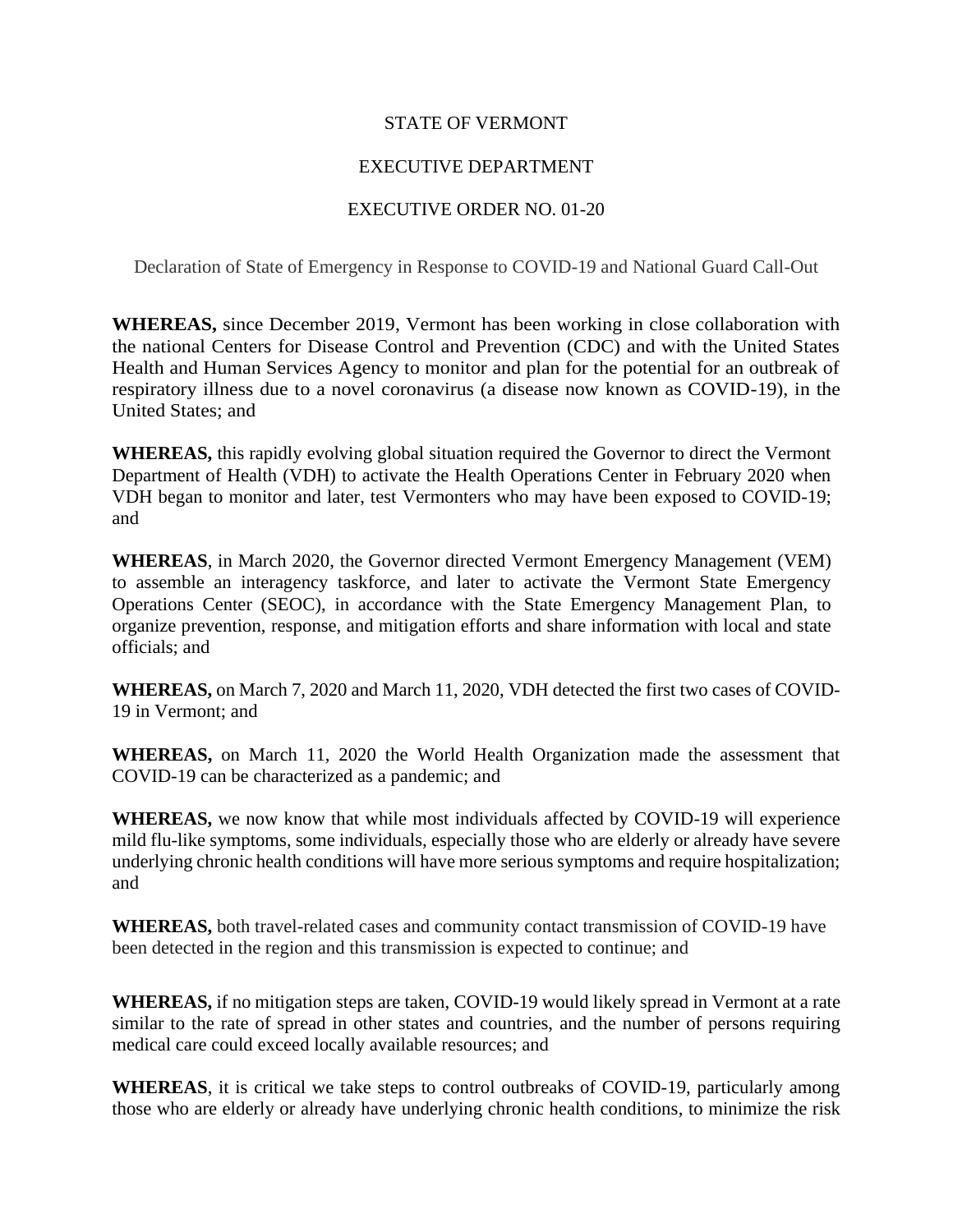## STATE OF VERMONT

## EXECUTIVE DEPARTMENT

## EXECUTIVE ORDER NO. 01-20

Declaration of State of Emergency in Response to COVID-19 and National Guard Call-Out

**WHEREAS,** since December 2019, Vermont has been working in close collaboration with the national Centers for Disease Control and Prevention (CDC) and with the United States Health and Human Services Agency to monitor and plan for the potential for an outbreak of respiratory illness due to a novel coronavirus (a disease now known as COVID-19), in the United States; and

**WHEREAS,** this rapidly evolving global situation required the Governor to direct the Vermont Department of Health (VDH) to activate the Health Operations Center in February 2020 when VDH began to monitor and later, test Vermonters who may have been exposed to COVID-19; and

**WHEREAS**, in March 2020, the Governor directed Vermont Emergency Management (VEM) to assemble an interagency taskforce, and later to activate the Vermont State Emergency Operations Center (SEOC), in accordance with the State Emergency Management Plan, to organize prevention, response, and mitigation efforts and share information with local and state officials; and

**WHEREAS,** on March 7, 2020 and March 11, 2020, VDH detected the first two cases of COVID-19 in Vermont; and

**WHEREAS,** on March 11, 2020 the World Health Organization made the assessment that COVID-19 can be characterized as a pandemic; and

**WHEREAS,** we now know that while most individuals affected by COVID-19 will experience mild flu-like symptoms, some individuals, especially those who are elderly or already have severe underlying chronic health conditions will have more serious symptoms and require hospitalization; and

**WHEREAS,** both travel-related cases and community contact transmission of COVID-19 have been detected in the region and this transmission is expected to continue; and

**WHEREAS,** if no mitigation steps are taken, COVID-19 would likely spread in Vermont at a rate similar to the rate of spread in other states and countries, and the number of persons requiring medical care could exceed locally available resources; and

**WHEREAS**, it is critical we take steps to control outbreaks of COVID-19, particularly among those who are elderly or already have underlying chronic health conditions, to minimize the risk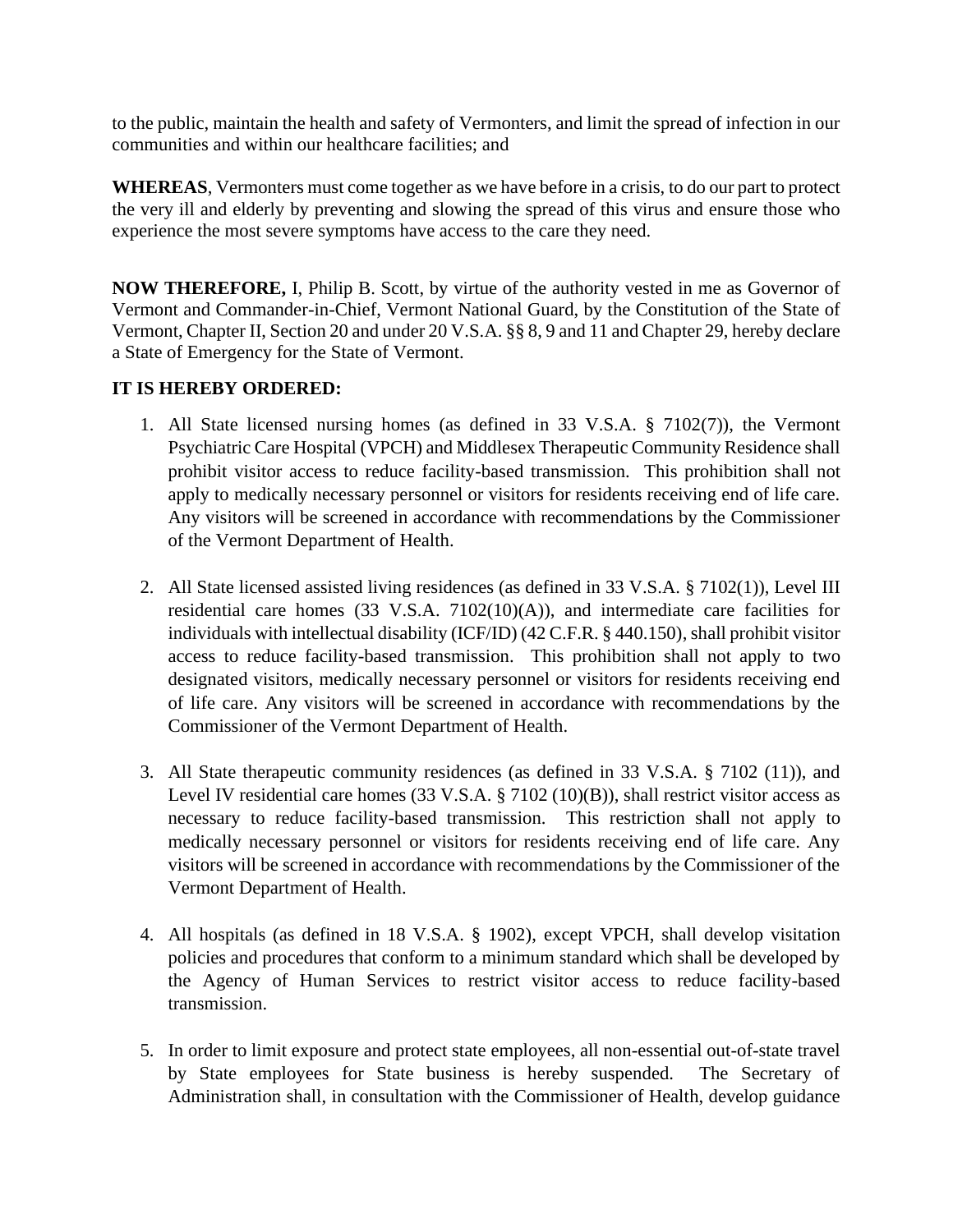to the public, maintain the health and safety of Vermonters, and limit the spread of infection in our communities and within our healthcare facilities; and

**WHEREAS**, Vermonters must come together as we have before in a crisis, to do our part to protect the very ill and elderly by preventing and slowing the spread of this virus and ensure those who experience the most severe symptoms have access to the care they need.

**NOW THEREFORE,** I, Philip B. Scott, by virtue of the authority vested in me as Governor of Vermont and Commander-in-Chief, Vermont National Guard, by the Constitution of the State of Vermont, Chapter II, Section 20 and under 20 V.S.A. §§ 8, 9 and 11 and Chapter 29, hereby declare a State of Emergency for the State of Vermont.

## **IT IS HEREBY ORDERED:**

- 1. All State licensed nursing homes (as defined in 33 V.S.A. § 7102(7)), the Vermont Psychiatric Care Hospital (VPCH) and Middlesex Therapeutic Community Residence shall prohibit visitor access to reduce facility-based transmission. This prohibition shall not apply to medically necessary personnel or visitors for residents receiving end of life care. Any visitors will be screened in accordance with recommendations by the Commissioner of the Vermont Department of Health.
- 2. All State licensed assisted living residences (as defined in 33 V.S.A. § 7102(1)), Level III residential care homes (33 V.S.A. 7102(10)(A)), and intermediate care facilities for individuals with intellectual disability (ICF/ID)  $(42 \text{ C.F.R.} \$ § 440.150), shall prohibit visitor access to reduce facility-based transmission. This prohibition shall not apply to two designated visitors, medically necessary personnel or visitors for residents receiving end of life care. Any visitors will be screened in accordance with recommendations by the Commissioner of the Vermont Department of Health.
- 3. All State therapeutic community residences (as defined in 33 V.S.A. § 7102 (11)), and Level IV residential care homes (33 V.S.A. § 7102 (10)(B)), shall restrict visitor access as necessary to reduce facility-based transmission. This restriction shall not apply to medically necessary personnel or visitors for residents receiving end of life care. Any visitors will be screened in accordance with recommendations by the Commissioner of the Vermont Department of Health.
- 4. All hospitals (as defined in 18 V.S.A. § 1902), except VPCH, shall develop visitation policies and procedures that conform to a minimum standard which shall be developed by the Agency of Human Services to restrict visitor access to reduce facility-based transmission.
- 5. In order to limit exposure and protect state employees, all non-essential out-of-state travel by State employees for State business is hereby suspended. The Secretary of Administration shall, in consultation with the Commissioner of Health, develop guidance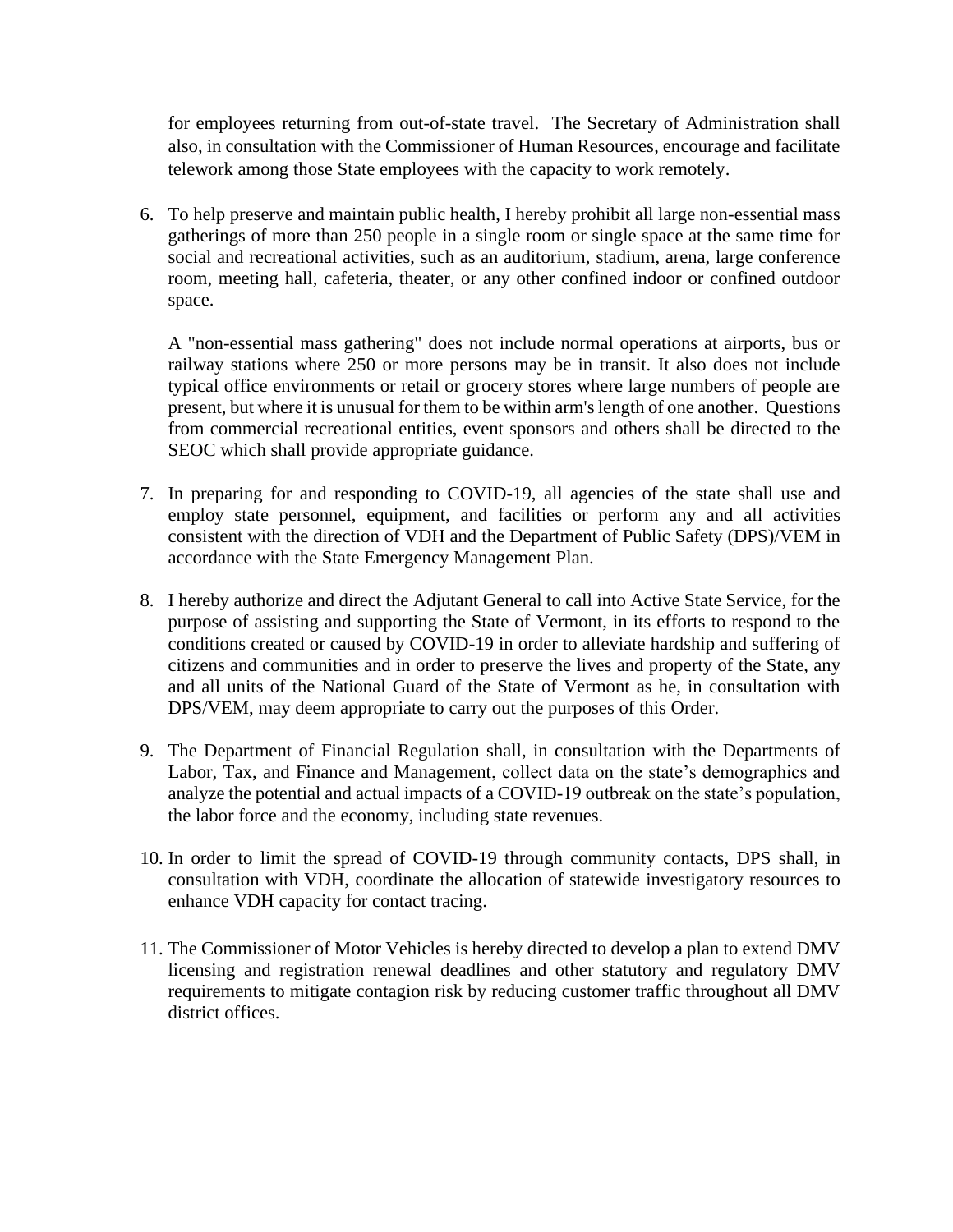for employees returning from out-of-state travel. The Secretary of Administration shall also, in consultation with the Commissioner of Human Resources, encourage and facilitate telework among those State employees with the capacity to work remotely.

6. To help preserve and maintain public health, I hereby prohibit all large non-essential mass gatherings of more than 250 people in a single room or single space at the same time for social and recreational activities, such as an auditorium, stadium, arena, large conference room, meeting hall, cafeteria, theater, or any other confined indoor or confined outdoor space.

A "non-essential mass gathering" does not include normal operations at airports, bus or railway stations where 250 or more persons may be in transit. It also does not include typical office environments or retail or grocery stores where large numbers of people are present, but where it is unusual for them to be within arm's length of one another. Questions from commercial recreational entities, event sponsors and others shall be directed to the SEOC which shall provide appropriate guidance.

- 7. In preparing for and responding to COVID-19, all agencies of the state shall use and employ state personnel, equipment, and facilities or perform any and all activities consistent with the direction of VDH and the Department of Public Safety (DPS)/VEM in accordance with the State Emergency Management Plan.
- 8. I hereby authorize and direct the Adjutant General to call into Active State Service, for the purpose of assisting and supporting the State of Vermont, in its efforts to respond to the conditions created or caused by COVID-19 in order to alleviate hardship and suffering of citizens and communities and in order to preserve the lives and property of the State, any and all units of the National Guard of the State of Vermont as he, in consultation with DPS/VEM, may deem appropriate to carry out the purposes of this Order.
- 9. The Department of Financial Regulation shall, in consultation with the Departments of Labor, Tax, and Finance and Management, collect data on the state's demographics and analyze the potential and actual impacts of a COVID-19 outbreak on the state's population, the labor force and the economy, including state revenues.
- 10. In order to limit the spread of COVID-19 through community contacts, DPS shall, in consultation with VDH, coordinate the allocation of statewide investigatory resources to enhance VDH capacity for contact tracing.
- 11. The Commissioner of Motor Vehicles is hereby directed to develop a plan to extend DMV licensing and registration renewal deadlines and other statutory and regulatory DMV requirements to mitigate contagion risk by reducing customer traffic throughout all DMV district offices.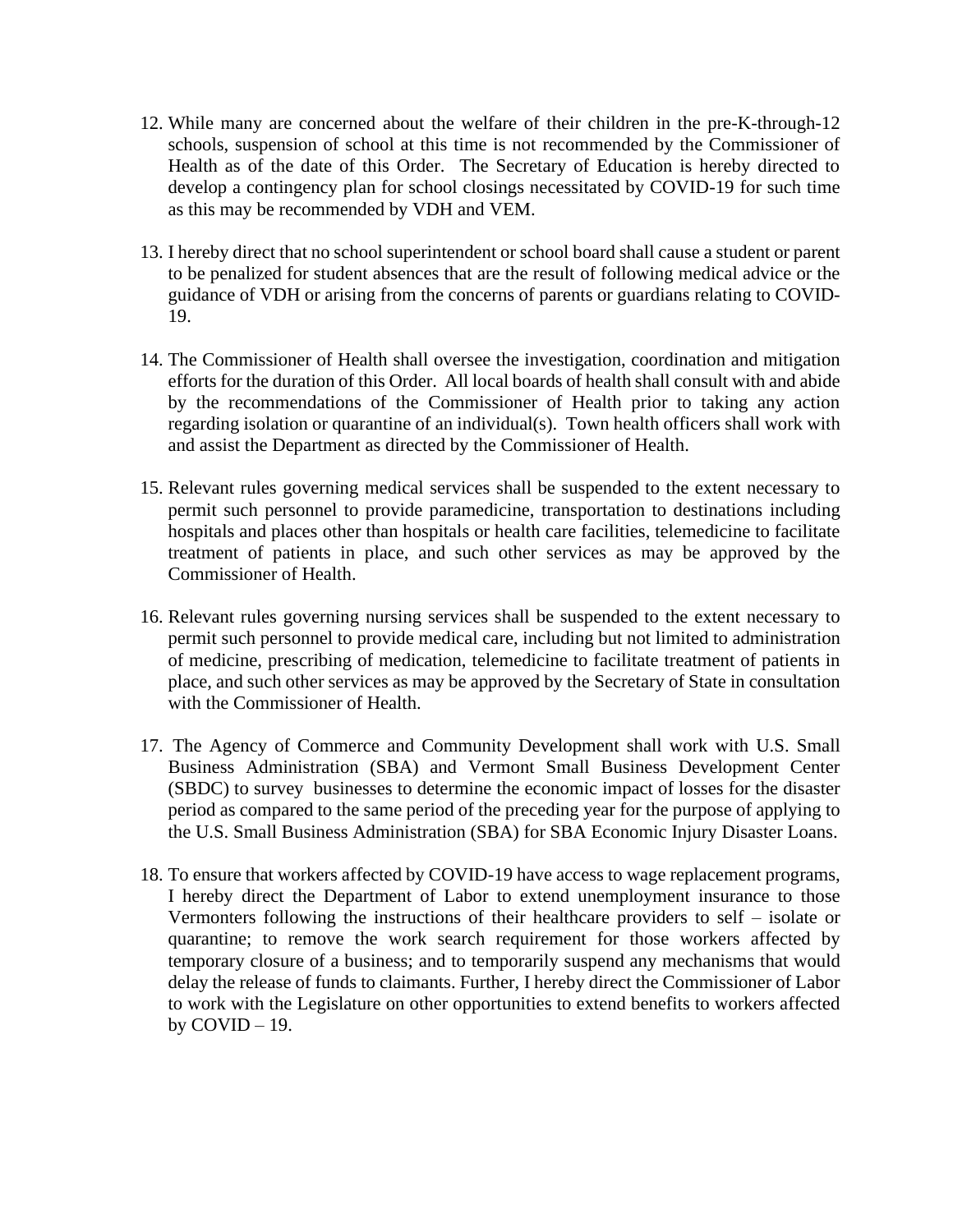- 12. While many are concerned about the welfare of their children in the pre-K-through-12 schools, suspension of school at this time is not recommended by the Commissioner of Health as of the date of this Order. The Secretary of Education is hereby directed to develop a contingency plan for school closings necessitated by COVID-19 for such time as this may be recommended by VDH and VEM.
- 13. I hereby direct that no school superintendent or school board shall cause a student or parent to be penalized for student absences that are the result of following medical advice or the guidance of VDH or arising from the concerns of parents or guardians relating to COVID-19.
- 14. The Commissioner of Health shall oversee the investigation, coordination and mitigation efforts for the duration of this Order. All local boards of health shall consult with and abide by the recommendations of the Commissioner of Health prior to taking any action regarding isolation or quarantine of an individual(s). Town health officers shall work with and assist the Department as directed by the Commissioner of Health.
- 15. Relevant rules governing medical services shall be suspended to the extent necessary to permit such personnel to provide paramedicine, transportation to destinations including hospitals and places other than hospitals or health care facilities, telemedicine to facilitate treatment of patients in place, and such other services as may be approved by the Commissioner of Health.
- 16. Relevant rules governing nursing services shall be suspended to the extent necessary to permit such personnel to provide medical care, including but not limited to administration of medicine, prescribing of medication, telemedicine to facilitate treatment of patients in place, and such other services as may be approved by the Secretary of State in consultation with the Commissioner of Health.
- 17. The Agency of Commerce and Community Development shall work with U.S. Small Business Administration (SBA) and Vermont Small Business Development Center (SBDC) to survey businesses to determine the economic impact of losses for the disaster period as compared to the same period of the preceding year for the purpose of applying to the U.S. Small Business Administration (SBA) for SBA Economic Injury Disaster Loans.
- 18. To ensure that workers affected by COVID-19 have access to wage replacement programs, I hereby direct the Department of Labor to extend unemployment insurance to those Vermonters following the instructions of their healthcare providers to self – isolate or quarantine; to remove the work search requirement for those workers affected by temporary closure of a business; and to temporarily suspend any mechanisms that would delay the release of funds to claimants. Further, I hereby direct the Commissioner of Labor to work with the Legislature on other opportunities to extend benefits to workers affected by  $COVID - 19$ .